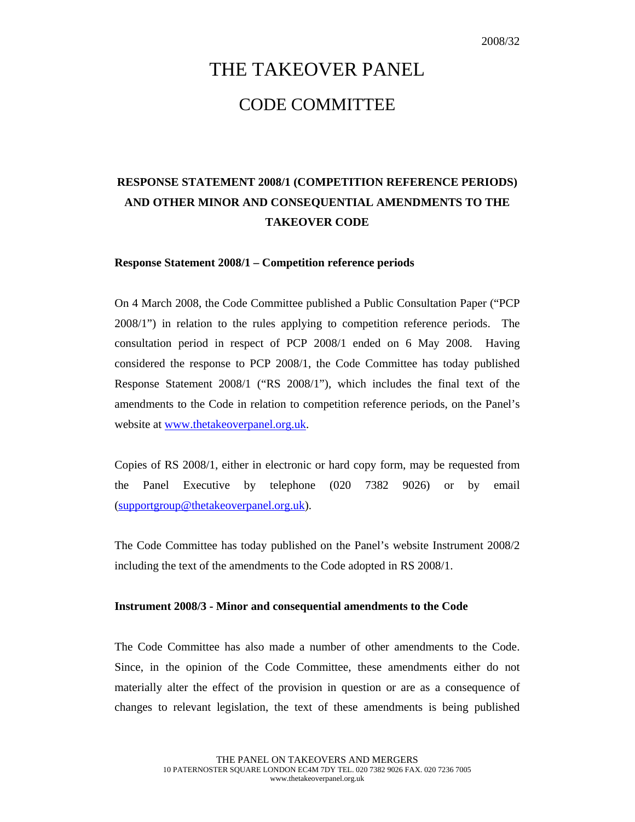# THE TAKEOVER PANEL CODE COMMITTEE

## **RESPONSE STATEMENT 2008/1 (COMPETITION REFERENCE PERIODS) AND OTHER MINOR AND CONSEQUENTIAL AMENDMENTS TO THE TAKEOVER CODE**

#### **Response Statement 2008/1 – Competition reference periods**

On 4 March 2008, the Code Committee published a Public Consultation Paper ("PCP 2008/1") in relation to the rules applying to competition reference periods. The consultation period in respect of PCP 2008/1 ended on 6 May 2008. Having considered the response to PCP 2008/1, the Code Committee has today published Response Statement 2008/1 ("RS 2008/1"), which includes the final text of the amendments to the Code in relation to competition reference periods, on the Panel's website at www.thetakeoverpanel.org.uk.

Copies of RS 2008/1, either in electronic or hard copy form, may be requested from the Panel Executive by telephone (020 7382 9026) or by email (supportgroup@thetakeoverpanel.org.uk).

The Code Committee has today published on the Panel's website Instrument 2008/2 including the text of the amendments to the Code adopted in RS 2008/1.

#### **Instrument 2008/3 - Minor and consequential amendments to the Code**

The Code Committee has also made a number of other amendments to the Code. Since, in the opinion of the Code Committee, these amendments either do not materially alter the effect of the provision in question or are as a consequence of changes to relevant legislation, the text of these amendments is being published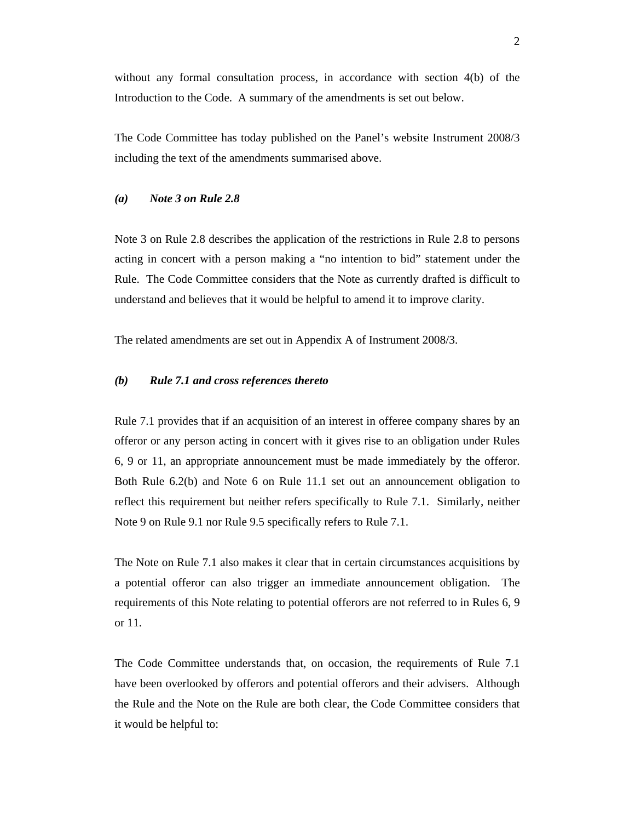without any formal consultation process, in accordance with section 4(b) of the Introduction to the Code. A summary of the amendments is set out below.

The Code Committee has today published on the Panel's website Instrument 2008/3 including the text of the amendments summarised above.

#### *(a) Note 3 on Rule 2.8*

Note 3 on Rule 2.8 describes the application of the restrictions in Rule 2.8 to persons acting in concert with a person making a "no intention to bid" statement under the Rule. The Code Committee considers that the Note as currently drafted is difficult to understand and believes that it would be helpful to amend it to improve clarity.

The related amendments are set out in Appendix A of Instrument 2008/3.

#### *(b) Rule 7.1 and cross references thereto*

Rule 7.1 provides that if an acquisition of an interest in offeree company shares by an offeror or any person acting in concert with it gives rise to an obligation under Rules 6, 9 or 11, an appropriate announcement must be made immediately by the offeror. Both Rule 6.2(b) and Note 6 on Rule 11.1 set out an announcement obligation to reflect this requirement but neither refers specifically to Rule 7.1. Similarly, neither Note 9 on Rule 9.1 nor Rule 9.5 specifically refers to Rule 7.1.

The Note on Rule 7.1 also makes it clear that in certain circumstances acquisitions by a potential offeror can also trigger an immediate announcement obligation. The requirements of this Note relating to potential offerors are not referred to in Rules 6, 9 or 11.

The Code Committee understands that, on occasion, the requirements of Rule 7.1 have been overlooked by offerors and potential offerors and their advisers. Although the Rule and the Note on the Rule are both clear, the Code Committee considers that it would be helpful to: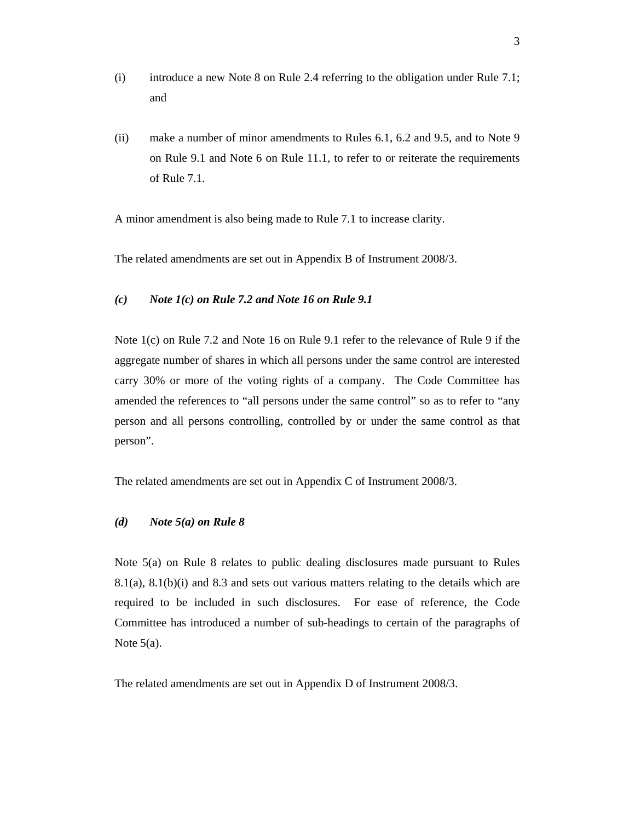- (i) introduce a new Note 8 on Rule 2.4 referring to the obligation under Rule 7.1; and
- (ii) make a number of minor amendments to Rules 6.1, 6.2 and 9.5, and to Note 9 on Rule 9.1 and Note 6 on Rule 11.1, to refer to or reiterate the requirements of Rule 7.1.

A minor amendment is also being made to Rule 7.1 to increase clarity.

The related amendments are set out in Appendix B of Instrument 2008/3.

#### *(c) Note 1(c) on Rule 7.2 and Note 16 on Rule 9.1*

Note 1(c) on Rule 7.2 and Note 16 on Rule 9.1 refer to the relevance of Rule 9 if the aggregate number of shares in which all persons under the same control are interested carry 30% or more of the voting rights of a company. The Code Committee has amended the references to "all persons under the same control" so as to refer to "any person and all persons controlling, controlled by or under the same control as that person".

The related amendments are set out in Appendix C of Instrument 2008/3.

#### *(d) Note 5(a) on Rule 8*

Note 5(a) on Rule 8 relates to public dealing disclosures made pursuant to Rules 8.1(a), 8.1(b)(i) and 8.3 and sets out various matters relating to the details which are required to be included in such disclosures. For ease of reference, the Code Committee has introduced a number of sub-headings to certain of the paragraphs of Note 5(a).

The related amendments are set out in Appendix D of Instrument 2008/3.